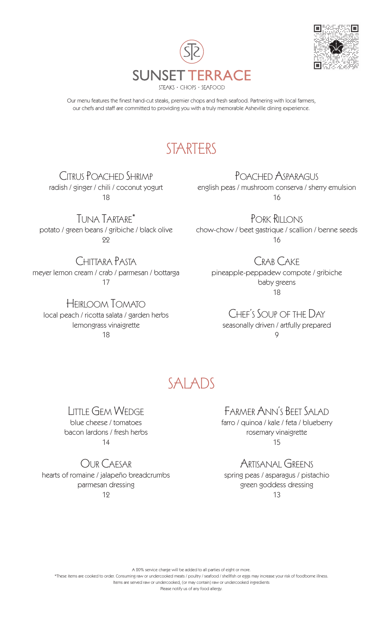



Our menu features the finest hand-cut steaks, premier chops and fresh seafood. Partnering with local farmers, our chefs and staff are committed to providing you with a truly memorable Asheville dining experience.

# **STARTERS**

Citrus Poached Shrimp radish / ginger / chili / coconut yogurt 18

Tuna Tartare\* potato / green beans / gribiche / black olive 22

Chittara Pasta meyer lemon cream / crab / parmesan / bottarga 17

Heirloom Tomato local peach / ricotta salata / garden herbs lemongrass vinaigrette 18

POACHED ASPARAGUS english peas / mushroom conserva / sherry emulsion 16

Pork Rillons chow-chow / beet gastrique / scallion / benne seeds 16

Crab Cake pineapple-peppadew compote / gribiche baby greens 18

Chef's Soup of the Day seasonally driven / artfully prepared  $\overline{Q}$ 

## SALADS

Little Gem Wedge blue cheese / tomatoes bacon lardons / fresh herbs 14

Our Caesar hearts of romaine / jalapeño breadcrumbs parmesan dressing 12

Farmer Ann's Beet Salad

farro / quinoa / kale / feta / blueberry rosemary vinaigrette 15

Artisanal Greens

spring peas / asparagus / pistachio green goddess dressing 13

A 20% service charge will be added to all parties of eight or more.

\*These items are cooked to order. Consuming raw or undercooked meats / poultry / seafood / shellfish or eggs may increase your risk of foodborne illness.

Items are served raw or undercooked, (or may contain) raw or undercooked ingredients

Please notify us of any food allergy.